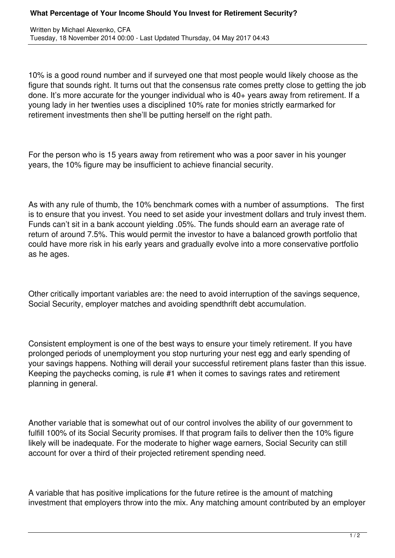10% is a good round number and if surveyed one that most people would likely choose as the figure that sounds right. It turns out that the consensus rate comes pretty close to getting the job done. It's more accurate for the younger individual who is 40+ years away from retirement. If a young lady in her twenties uses a disciplined 10% rate for monies strictly earmarked for retirement investments then she'll be putting herself on the right path.

For the person who is 15 years away from retirement who was a poor saver in his younger years, the 10% figure may be insufficient to achieve financial security.

As with any rule of thumb, the 10% benchmark comes with a number of assumptions. The first is to ensure that you invest. You need to set aside your investment dollars and truly invest them. Funds can't sit in a bank account yielding .05%. The funds should earn an average rate of return of around 7.5%. This would permit the investor to have a balanced growth portfolio that could have more risk in his early years and gradually evolve into a more conservative portfolio as he ages.

Other critically important variables are: the need to avoid interruption of the savings sequence, Social Security, employer matches and avoiding spendthrift debt accumulation.

Consistent employment is one of the best ways to ensure your timely retirement. If you have prolonged periods of unemployment you stop nurturing your nest egg and early spending of your savings happens. Nothing will derail your successful retirement plans faster than this issue. Keeping the paychecks coming, is rule #1 when it comes to savings rates and retirement planning in general.

Another variable that is somewhat out of our control involves the ability of our government to fulfill 100% of its Social Security promises. If that program fails to deliver then the 10% figure likely will be inadequate. For the moderate to higher wage earners, Social Security can still account for over a third of their projected retirement spending need.

A variable that has positive implications for the future retiree is the amount of matching investment that employers throw into the mix. Any matching amount contributed by an employer